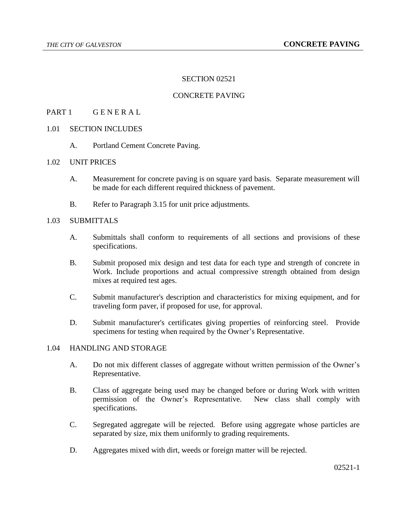## SECTION 02521

## CONCRETE PAVING

## PART 1 GENERAL

### 1.01 SECTION INCLUDES

A. Portland Cement Concrete Paving.

#### 1.02 UNIT PRICES

- A. Measurement for concrete paving is on square yard basis. Separate measurement will be made for each different required thickness of pavement.
- B. Refer to Paragraph 3.15 for unit price adjustments.

## 1.03 SUBMITTALS

- A. Submittals shall conform to requirements of all sections and provisions of these specifications.
- B. Submit proposed mix design and test data for each type and strength of concrete in Work. Include proportions and actual compressive strength obtained from design mixes at required test ages.
- C. Submit manufacturer's description and characteristics for mixing equipment, and for traveling form paver, if proposed for use, for approval.
- D. Submit manufacturer's certificates giving properties of reinforcing steel. Provide specimens for testing when required by the Owner's Representative.

## 1.04 HANDLING AND STORAGE

- A. Do not mix different classes of aggregate without written permission of the Owner's Representative.
- B. Class of aggregate being used may be changed before or during Work with written permission of the Owner's Representative. New class shall comply with specifications.
- C. Segregated aggregate will be rejected. Before using aggregate whose particles are separated by size, mix them uniformly to grading requirements.
- D. Aggregates mixed with dirt, weeds or foreign matter will be rejected.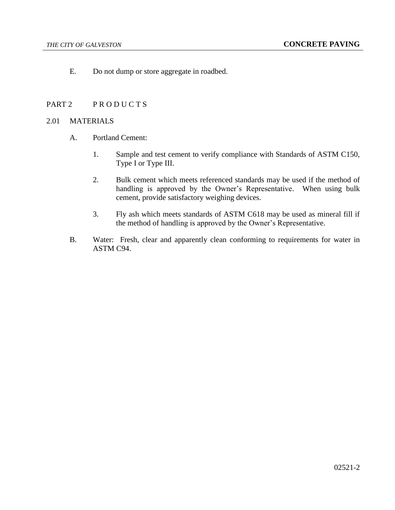E. Do not dump or store aggregate in roadbed.

## PART 2 PRODUCTS

#### 2.01 MATERIALS

- A. Portland Cement:
	- 1. Sample and test cement to verify compliance with Standards of ASTM C150, Type I or Type III.
	- 2. Bulk cement which meets referenced standards may be used if the method of handling is approved by the Owner's Representative. When using bulk cement, provide satisfactory weighing devices.
	- 3. Fly ash which meets standards of ASTM C618 may be used as mineral fill if the method of handling is approved by the Owner's Representative.
- B. Water: Fresh, clear and apparently clean conforming to requirements for water in ASTM C94.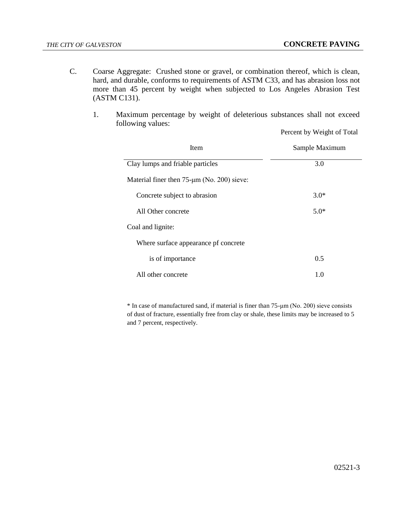$\overline{a}$ 

Percent by Weight of Total

- C. Coarse Aggregate: Crushed stone or gravel, or combination thereof, which is clean, hard, and durable, conforms to requirements of ASTM C33, and has abrasion loss not more than 45 percent by weight when subjected to Los Angeles Abrasion Test (ASTM C131).
	- 1. Maximum percentage by weight of deleterious substances shall not exceed following values:

| <b>Item</b>                                         | Sample Maximum |
|-----------------------------------------------------|----------------|
| Clay lumps and friable particles                    | 3.0            |
| Material finer then $75$ - $\mu$ m (No. 200) sieve: |                |
| Concrete subject to abrasion                        | $3.0*$         |
| All Other concrete                                  | $5.0*$         |
| Coal and lignite:                                   |                |
| Where surface appearance pf concrete                |                |
| is of importance                                    | 0.5            |
| All other concrete                                  | 1.0            |

\* In case of manufactured sand, if material is finer than 75-μm (No. 200) sieve consists of dust of fracture, essentially free from clay or shale, these limits may be increased to 5 and 7 percent, respectively.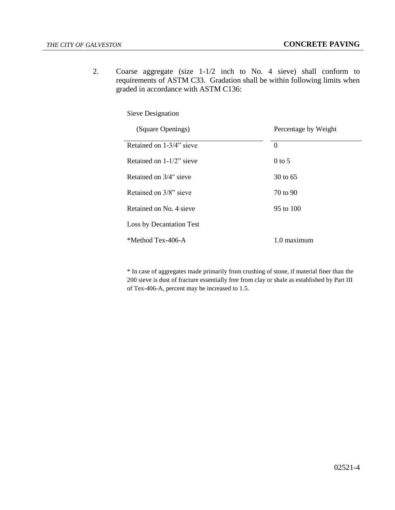2. Coarse aggregate (size 1-1/2 inch to No. 4 sieve) shall conform to requirements of ASTM C33. Gradation shall be within following limits when graded in accordance with ASTM C136:

Sieve Designation

| (Square Openings)           | Percentage by Weight |
|-----------------------------|----------------------|
| Retained on 1-3/4" sieve    | $\Omega$             |
| Retained on $1-1/2$ " sieve | $0$ to 5             |
| Retained on 3/4" sieve      | $30 \text{ to } 65$  |
| Retained on 3/8" sieve      | 70 to 90             |
| Retained on No. 4 sieve     | $95 \text{ to } 100$ |
| Loss by Decantation Test    |                      |
| *Method Tex-406-A           | 1.0 maximum          |

\* In case of aggregates made primarily from crushing of stone, if material finer than the 200 sieve is dust of fracture essentially free from clay or shale as established by Part III of Tex-406-A, percent may be increased to 1.5.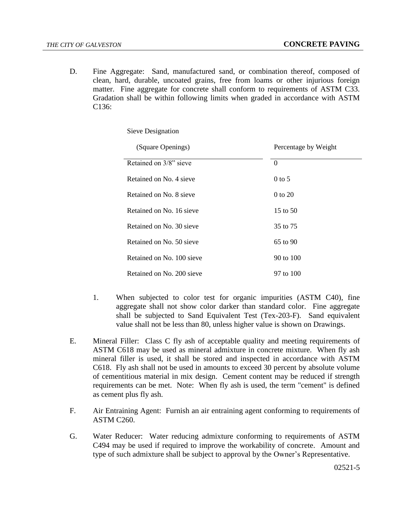D. Fine Aggregate: Sand, manufactured sand, or combination thereof, composed of clean, hard, durable, uncoated grains, free from loams or other injurious foreign matter. Fine aggregate for concrete shall conform to requirements of ASTM C33. Gradation shall be within following limits when graded in accordance with ASTM C136:

Sieve Designation

| (Square Openings)         | Percentage by Weight |
|---------------------------|----------------------|
| Retained on 3/8" sieve    | $\theta$             |
| Retained on No. 4 sieve   | $0$ to 5             |
| Retained on No. 8 sieve   | 0 to 20              |
| Retained on No. 16 sieve  | 15 to 50             |
| Retained on No. 30 sieve  | 35 to 75             |
| Retained on No. 50 sieve  | $65$ to $90$         |
| Retained on No. 100 sieve | 90 to 100            |
| Retained on No. 200 sieve | 97 to 100            |

- 1. When subjected to color test for organic impurities (ASTM C40), fine aggregate shall not show color darker than standard color. Fine aggregate shall be subjected to Sand Equivalent Test (Tex-203-F). Sand equivalent value shall not be less than 80, unless higher value is shown on Drawings.
- E. Mineral Filler: Class C fly ash of acceptable quality and meeting requirements of ASTM C618 may be used as mineral admixture in concrete mixture. When fly ash mineral filler is used, it shall be stored and inspected in accordance with ASTM C618. Fly ash shall not be used in amounts to exceed 30 percent by absolute volume of cementitious material in mix design. Cement content may be reduced if strength requirements can be met. Note: When fly ash is used, the term "cement" is defined as cement plus fly ash.
- F. Air Entraining Agent: Furnish an air entraining agent conforming to requirements of ASTM C260.
- G. Water Reducer: Water reducing admixture conforming to requirements of ASTM C494 may be used if required to improve the workability of concrete. Amount and type of such admixture shall be subject to approval by the Owner's Representative.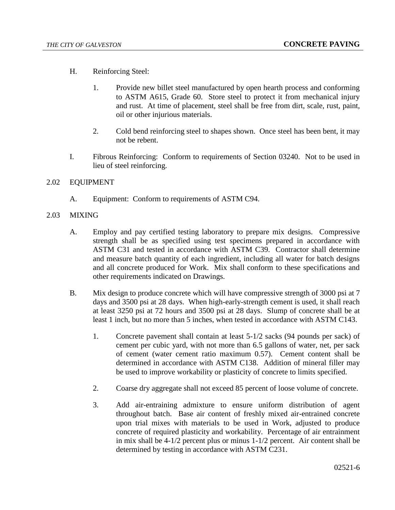- H. Reinforcing Steel:
	- 1. Provide new billet steel manufactured by open hearth process and conforming to ASTM A615, Grade 60. Store steel to protect it from mechanical injury and rust. At time of placement, steel shall be free from dirt, scale, rust, paint, oil or other injurious materials.
	- 2. Cold bend reinforcing steel to shapes shown. Once steel has been bent, it may not be rebent.
- I. Fibrous Reinforcing: Conform to requirements of Section 03240. Not to be used in lieu of steel reinforcing.

## 2.02 EQUIPMENT

- A. Equipment: Conform to requirements of ASTM C94.
- 2.03 MIXING
	- A. Employ and pay certified testing laboratory to prepare mix designs. Compressive strength shall be as specified using test specimens prepared in accordance with ASTM C31 and tested in accordance with ASTM C39. Contractor shall determine and measure batch quantity of each ingredient, including all water for batch designs and all concrete produced for Work. Mix shall conform to these specifications and other requirements indicated on Drawings.
	- B. Mix design to produce concrete which will have compressive strength of 3000 psi at 7 days and 3500 psi at 28 days. When high-early-strength cement is used, it shall reach at least 3250 psi at 72 hours and 3500 psi at 28 days. Slump of concrete shall be at least 1 inch, but no more than 5 inches, when tested in accordance with ASTM C143.
		- 1. Concrete pavement shall contain at least 5-1/2 sacks (94 pounds per sack) of cement per cubic yard, with not more than 6.5 gallons of water, net, per sack of cement (water cement ratio maximum 0.57). Cement content shall be determined in accordance with ASTM C138. Addition of mineral filler may be used to improve workability or plasticity of concrete to limits specified.
		- 2. Coarse dry aggregate shall not exceed 85 percent of loose volume of concrete.
		- 3. Add air-entraining admixture to ensure uniform distribution of agent throughout batch. Base air content of freshly mixed air-entrained concrete upon trial mixes with materials to be used in Work, adjusted to produce concrete of required plasticity and workability. Percentage of air entrainment in mix shall be 4-1/2 percent plus or minus 1-1/2 percent. Air content shall be determined by testing in accordance with ASTM C231.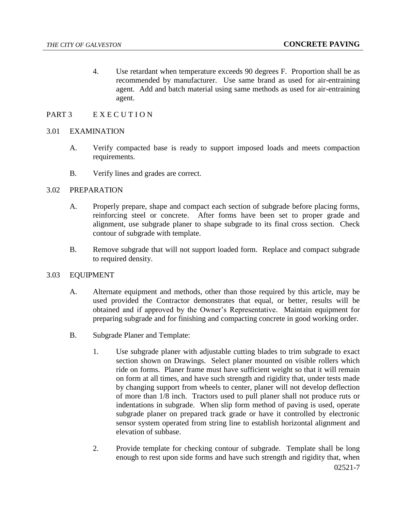4. Use retardant when temperature exceeds 90 degrees F. Proportion shall be as recommended by manufacturer. Use same brand as used for air-entraining agent. Add and batch material using same methods as used for air-entraining agent.

## PART 3 EXECUTION

## 3.01 EXAMINATION

- A. Verify compacted base is ready to support imposed loads and meets compaction requirements.
- B. Verify lines and grades are correct.

#### 3.02 PREPARATION

- A. Properly prepare, shape and compact each section of subgrade before placing forms, reinforcing steel or concrete. After forms have been set to proper grade and alignment, use subgrade planer to shape subgrade to its final cross section. Check contour of subgrade with template.
- B. Remove subgrade that will not support loaded form. Replace and compact subgrade to required density.

#### 3.03 EQUIPMENT

- A. Alternate equipment and methods, other than those required by this article, may be used provided the Contractor demonstrates that equal, or better, results will be obtained and if approved by the Owner's Representative. Maintain equipment for preparing subgrade and for finishing and compacting concrete in good working order.
- B. Subgrade Planer and Template:
	- 1. Use subgrade planer with adjustable cutting blades to trim subgrade to exact section shown on Drawings. Select planer mounted on visible rollers which ride on forms. Planer frame must have sufficient weight so that it will remain on form at all times, and have such strength and rigidity that, under tests made by changing support from wheels to center, planer will not develop deflection of more than 1/8 inch. Tractors used to pull planer shall not produce ruts or indentations in subgrade. When slip form method of paving is used, operate subgrade planer on prepared track grade or have it controlled by electronic sensor system operated from string line to establish horizontal alignment and elevation of subbase.
	- 02521-7 2. Provide template for checking contour of subgrade. Template shall be long enough to rest upon side forms and have such strength and rigidity that, when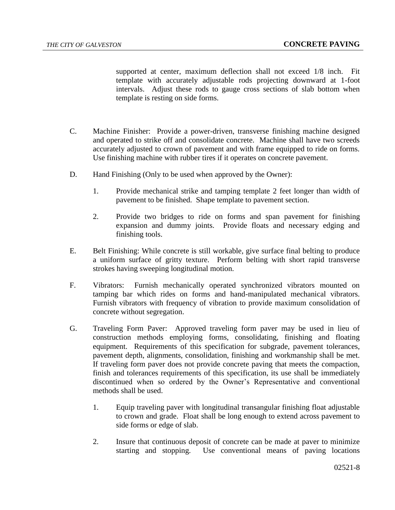supported at center, maximum deflection shall not exceed 1/8 inch. Fit template with accurately adjustable rods projecting downward at 1-foot intervals. Adjust these rods to gauge cross sections of slab bottom when template is resting on side forms.

- C. Machine Finisher: Provide a power-driven, transverse finishing machine designed and operated to strike off and consolidate concrete. Machine shall have two screeds accurately adjusted to crown of pavement and with frame equipped to ride on forms. Use finishing machine with rubber tires if it operates on concrete pavement.
- D. Hand Finishing (Only to be used when approved by the Owner):
	- 1. Provide mechanical strike and tamping template 2 feet longer than width of pavement to be finished. Shape template to pavement section.
	- 2. Provide two bridges to ride on forms and span pavement for finishing expansion and dummy joints. Provide floats and necessary edging and finishing tools.
- E. Belt Finishing: While concrete is still workable, give surface final belting to produce a uniform surface of gritty texture. Perform belting with short rapid transverse strokes having sweeping longitudinal motion.
- F. Vibrators: Furnish mechanically operated synchronized vibrators mounted on tamping bar which rides on forms and hand-manipulated mechanical vibrators. Furnish vibrators with frequency of vibration to provide maximum consolidation of concrete without segregation.
- G. Traveling Form Paver: Approved traveling form paver may be used in lieu of construction methods employing forms, consolidating, finishing and floating equipment. Requirements of this specification for subgrade, pavement tolerances, pavement depth, alignments, consolidation, finishing and workmanship shall be met. If traveling form paver does not provide concrete paving that meets the compaction, finish and tolerances requirements of this specification, its use shall be immediately discontinued when so ordered by the Owner's Representative and conventional methods shall be used.
	- 1. Equip traveling paver with longitudinal transangular finishing float adjustable to crown and grade. Float shall be long enough to extend across pavement to side forms or edge of slab.
	- 2. Insure that continuous deposit of concrete can be made at paver to minimize starting and stopping. Use conventional means of paving locations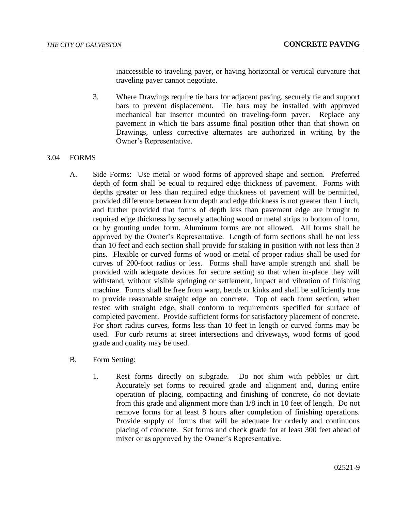inaccessible to traveling paver, or having horizontal or vertical curvature that traveling paver cannot negotiate.

3. Where Drawings require tie bars for adjacent paving, securely tie and support bars to prevent displacement. Tie bars may be installed with approved mechanical bar inserter mounted on traveling-form paver. Replace any pavement in which tie bars assume final position other than that shown on Drawings, unless corrective alternates are authorized in writing by the Owner's Representative.

## 3.04 FORMS

- A. Side Forms: Use metal or wood forms of approved shape and section. Preferred depth of form shall be equal to required edge thickness of pavement. Forms with depths greater or less than required edge thickness of pavement will be permitted, provided difference between form depth and edge thickness is not greater than 1 inch, and further provided that forms of depth less than pavement edge are brought to required edge thickness by securely attaching wood or metal strips to bottom of form, or by grouting under form. Aluminum forms are not allowed. All forms shall be approved by the Owner's Representative. Length of form sections shall be not less than 10 feet and each section shall provide for staking in position with not less than 3 pins. Flexible or curved forms of wood or metal of proper radius shall be used for curves of 200-foot radius or less. Forms shall have ample strength and shall be provided with adequate devices for secure setting so that when in-place they will withstand, without visible springing or settlement, impact and vibration of finishing machine. Forms shall be free from warp, bends or kinks and shall be sufficiently true to provide reasonable straight edge on concrete. Top of each form section, when tested with straight edge, shall conform to requirements specified for surface of completed pavement. Provide sufficient forms for satisfactory placement of concrete. For short radius curves, forms less than 10 feet in length or curved forms may be used. For curb returns at street intersections and driveways, wood forms of good grade and quality may be used.
- B. Form Setting:
	- 1. Rest forms directly on subgrade. Do not shim with pebbles or dirt. Accurately set forms to required grade and alignment and, during entire operation of placing, compacting and finishing of concrete, do not deviate from this grade and alignment more than 1/8 inch in 10 feet of length. Do not remove forms for at least 8 hours after completion of finishing operations. Provide supply of forms that will be adequate for orderly and continuous placing of concrete. Set forms and check grade for at least 300 feet ahead of mixer or as approved by the Owner's Representative.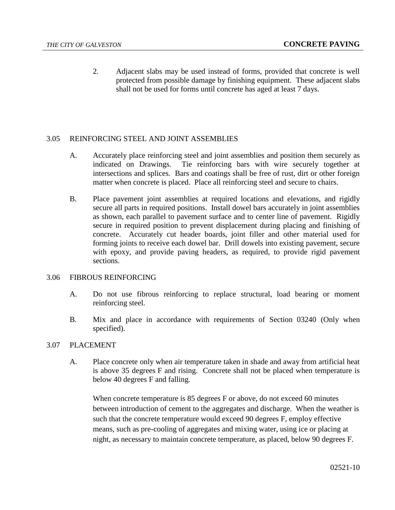2. Adjacent slabs may be used instead of forms, provided that concrete is well protected from possible damage by finishing equipment. These adjacent slabs shall not be used for forms until concrete has aged at least 7 days.

## 3.05 REINFORCING STEEL AND JOINT ASSEMBLIES

- A. Accurately place reinforcing steel and joint assemblies and position them securely as indicated on Drawings. Tie reinforcing bars with wire securely together at intersections and splices. Bars and coatings shall be free of rust, dirt or other foreign matter when concrete is placed. Place all reinforcing steel and secure to chairs.
- B. Place pavement joint assemblies at required locations and elevations, and rigidly secure all parts in required positions. Install dowel bars accurately in joint assemblies as shown, each parallel to pavement surface and to center line of pavement. Rigidly secure in required position to prevent displacement during placing and finishing of concrete. Accurately cut header boards, joint filler and other material used for forming joints to receive each dowel bar. Drill dowels into existing pavement, secure with epoxy, and provide paving headers, as required, to provide rigid pavement sections.

#### 3.06 FIBROUS REINFORCING

- A. Do not use fibrous reinforcing to replace structural, load bearing or moment reinforcing steel.
- B. Mix and place in accordance with requirements of Section 03240 (Only when specified).

#### 3.07 PLACEMENT

A. Place concrete only when air temperature taken in shade and away from artificial heat is above 35 degrees F and rising. Concrete shall not be placed when temperature is below 40 degrees F and falling.

When concrete temperature is 85 degrees F or above, do not exceed 60 minutes between introduction of cement to the aggregates and discharge. When the weather is such that the concrete temperature would exceed 90 degrees F, employ effective means, such as pre-cooling of aggregates and mixing water, using ice or placing at night, as necessary to maintain concrete temperature, as placed, below 90 degrees F.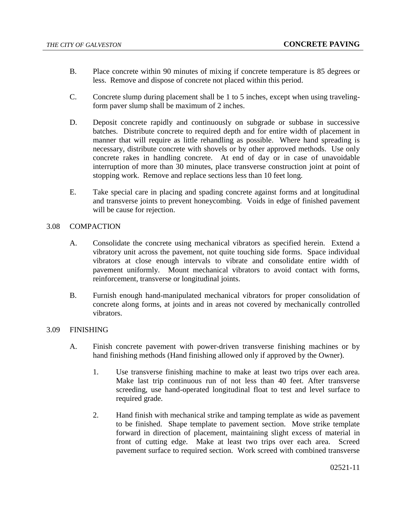- B. Place concrete within 90 minutes of mixing if concrete temperature is 85 degrees or less. Remove and dispose of concrete not placed within this period.
- C. Concrete slump during placement shall be 1 to 5 inches, except when using travelingform paver slump shall be maximum of 2 inches.
- D. Deposit concrete rapidly and continuously on subgrade or subbase in successive batches. Distribute concrete to required depth and for entire width of placement in manner that will require as little rehandling as possible. Where hand spreading is necessary, distribute concrete with shovels or by other approved methods. Use only concrete rakes in handling concrete. At end of day or in case of unavoidable interruption of more than 30 minutes, place transverse construction joint at point of stopping work. Remove and replace sections less than 10 feet long.
- E. Take special care in placing and spading concrete against forms and at longitudinal and transverse joints to prevent honeycombing. Voids in edge of finished pavement will be cause for rejection.

## 3.08 COMPACTION

- A. Consolidate the concrete using mechanical vibrators as specified herein. Extend a vibratory unit across the pavement, not quite touching side forms. Space individual vibrators at close enough intervals to vibrate and consolidate entire width of pavement uniformly. Mount mechanical vibrators to avoid contact with forms, reinforcement, transverse or longitudinal joints.
- B. Furnish enough hand-manipulated mechanical vibrators for proper consolidation of concrete along forms, at joints and in areas not covered by mechanically controlled vibrators.

## 3.09 FINISHING

- A. Finish concrete pavement with power-driven transverse finishing machines or by hand finishing methods (Hand finishing allowed only if approved by the Owner).
	- 1. Use transverse finishing machine to make at least two trips over each area. Make last trip continuous run of not less than 40 feet. After transverse screeding, use hand-operated longitudinal float to test and level surface to required grade.
	- 2. Hand finish with mechanical strike and tamping template as wide as pavement to be finished. Shape template to pavement section. Move strike template forward in direction of placement, maintaining slight excess of material in front of cutting edge. Make at least two trips over each area. Screed pavement surface to required section. Work screed with combined transverse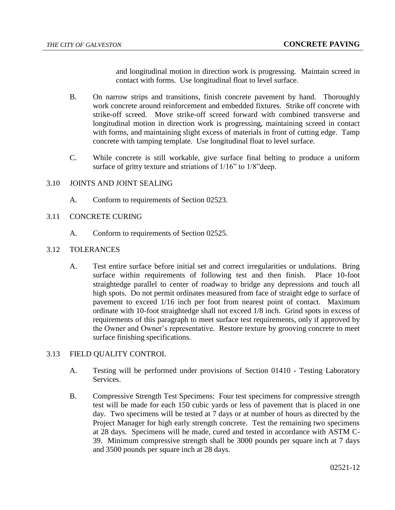and longitudinal motion in direction work is progressing. Maintain screed in contact with forms. Use longitudinal float to level surface.

- B. On narrow strips and transitions, finish concrete pavement by hand. Thoroughly work concrete around reinforcement and embedded fixtures. Strike off concrete with strike-off screed. Move strike-off screed forward with combined transverse and longitudinal motion in direction work is progressing, maintaining screed in contact with forms, and maintaining slight excess of materials in front of cutting edge. Tamp concrete with tamping template. Use longitudinal float to level surface.
- C. While concrete is still workable, give surface final belting to produce a uniform surface of gritty texture and striations of  $1/16$ " to  $1/8$ " deep.

### 3.10 JOINTS AND JOINT SEALING

- A. Conform to requirements of Section 02523.
- 3.11 CONCRETE CURING
	- A. Conform to requirements of Section 02525.
- 3.12 TOLERANCES
	- A. Test entire surface before initial set and correct irregularities or undulations. Bring surface within requirements of following test and then finish. Place 10-foot straightedge parallel to center of roadway to bridge any depressions and touch all high spots. Do not permit ordinates measured from face of straight edge to surface of pavement to exceed 1/16 inch per foot from nearest point of contact. Maximum ordinate with 10-foot straightedge shall not exceed 1/8 inch. Grind spots in excess of requirements of this paragraph to meet surface test requirements, only if approved by the Owner and Owner's representative. Restore texture by grooving concrete to meet surface finishing specifications.

## 3.13 FIELD QUALITY CONTROL

- A. Testing will be performed under provisions of Section 01410 Testing Laboratory Services.
- B. Compressive Strength Test Specimens: Four test specimens for compressive strength test will be made for each 150 cubic yards or less of pavement that is placed in one day. Two specimens will be tested at 7 days or at number of hours as directed by the Project Manager for high early strength concrete. Test the remaining two specimens at 28 days. Specimens will be made, cured and tested in accordance with ASTM C-39. Minimum compressive strength shall be 3000 pounds per square inch at 7 days and 3500 pounds per square inch at 28 days.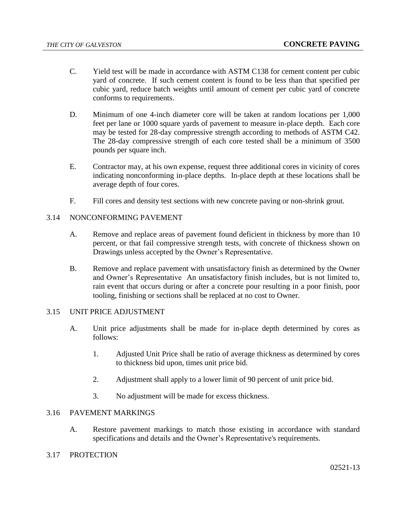- C. Yield test will be made in accordance with ASTM C138 for cement content per cubic yard of concrete. If such cement content is found to be less than that specified per cubic yard, reduce batch weights until amount of cement per cubic yard of concrete conforms to requirements.
- D. Minimum of one 4-inch diameter core will be taken at random locations per 1,000 feet per lane or 1000 square yards of pavement to measure in-place depth. Each core may be tested for 28-day compressive strength according to methods of ASTM C42. The 28-day compressive strength of each core tested shall be a minimum of 3500 pounds per square inch.
- E. Contractor may, at his own expense, request three additional cores in vicinity of cores indicating nonconforming in-place depths. In-place depth at these locations shall be average depth of four cores.
- F. Fill cores and density test sections with new concrete paving or non-shrink grout.

## 3.14 NONCONFORMING PAVEMENT

- A. Remove and replace areas of pavement found deficient in thickness by more than 10 percent, or that fail compressive strength tests, with concrete of thickness shown on Drawings unless accepted by the Owner's Representative.
- B. Remove and replace pavement with unsatisfactory finish as determined by the Owner and Owner's Representative An unsatisfactory finish includes, but is not limited to, rain event that occurs during or after a concrete pour resulting in a poor finish, poor tooling, finishing or sections shall be replaced at no cost to Owner.

#### 3.15 UNIT PRICE ADJUSTMENT

- A. Unit price adjustments shall be made for in-place depth determined by cores as follows:
	- 1. Adjusted Unit Price shall be ratio of average thickness as determined by cores to thickness bid upon, times unit price bid.
	- 2. Adjustment shall apply to a lower limit of 90 percent of unit price bid.
	- 3. No adjustment will be made for excess thickness.

# 3.16 PAVEMENT MARKINGS

A. Restore pavement markings to match those existing in accordance with standard specifications and details and the Owner's Representative's requirements.

# 3.17 PROTECTION